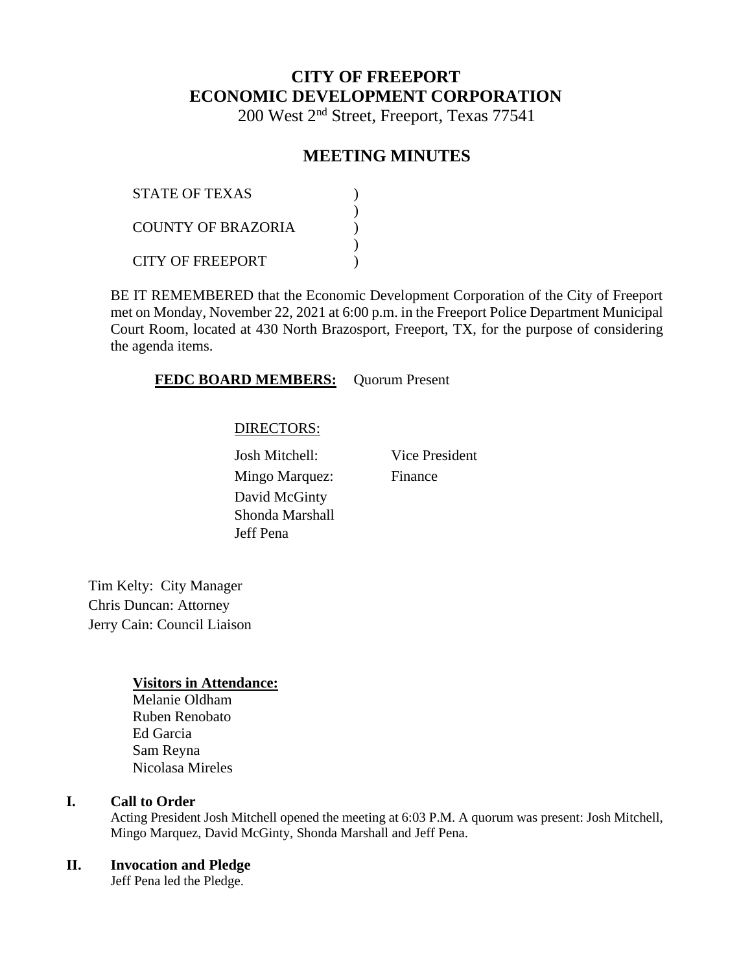# **CITY OF FREEPORT ECONOMIC DEVELOPMENT CORPORATION**

200 West 2nd Street, Freeport, Texas 77541

# **MEETING MINUTES**

| <b>STATE OF TEXAS</b>   |  |
|-------------------------|--|
| COUNTY OF BRAZORIA      |  |
| <b>CITY OF FREEPORT</b> |  |

BE IT REMEMBERED that the Economic Development Corporation of the City of Freeport met on Monday, November 22, 2021 at 6:00 p.m. in the Freeport Police Department Municipal Court Room, located at 430 North Brazosport, Freeport, TX, for the purpose of considering the agenda items.

### **FEDC BOARD MEMBERS:** Quorum Present

### DIRECTORS:

Josh Mitchell: Vice President Mingo Marquez: Finance David McGinty Shonda Marshall Jeff Pena

Tim Kelty: City Manager Chris Duncan: Attorney Jerry Cain: Council Liaison

### **Visitors in Attendance:**

Melanie Oldham Ruben Renobato Ed Garcia Sam Reyna Nicolasa Mireles

# **I. Call to Order**

Acting President Josh Mitchell opened the meeting at 6:03 P.M. A quorum was present: Josh Mitchell, Mingo Marquez, David McGinty, Shonda Marshall and Jeff Pena.

### **II. Invocation and Pledge**

Jeff Pena led the Pledge.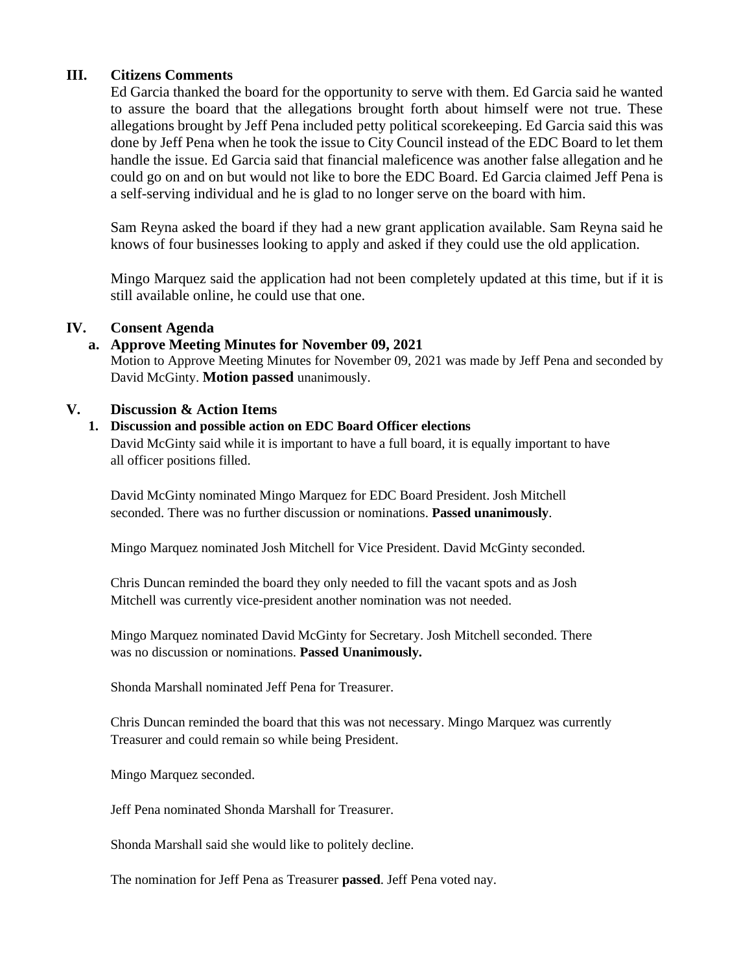# **III. Citizens Comments**

Ed Garcia thanked the board for the opportunity to serve with them. Ed Garcia said he wanted to assure the board that the allegations brought forth about himself were not true. These allegations brought by Jeff Pena included petty political scorekeeping. Ed Garcia said this was done by Jeff Pena when he took the issue to City Council instead of the EDC Board to let them handle the issue. Ed Garcia said that financial maleficence was another false allegation and he could go on and on but would not like to bore the EDC Board. Ed Garcia claimed Jeff Pena is a self-serving individual and he is glad to no longer serve on the board with him.

Sam Reyna asked the board if they had a new grant application available. Sam Reyna said he knows of four businesses looking to apply and asked if they could use the old application.

Mingo Marquez said the application had not been completely updated at this time, but if it is still available online, he could use that one.

### **IV. Consent Agenda**

### **a. Approve Meeting Minutes for November 09, 2021**

Motion to Approve Meeting Minutes for November 09, 2021 was made by Jeff Pena and seconded by David McGinty. **Motion passed** unanimously.

### **V. Discussion & Action Items**

### **1. Discussion and possible action on EDC Board Officer elections**

David McGinty said while it is important to have a full board, it is equally important to have all officer positions filled.

David McGinty nominated Mingo Marquez for EDC Board President. Josh Mitchell seconded. There was no further discussion or nominations. **Passed unanimously**.

Mingo Marquez nominated Josh Mitchell for Vice President. David McGinty seconded.

Chris Duncan reminded the board they only needed to fill the vacant spots and as Josh Mitchell was currently vice-president another nomination was not needed.

Mingo Marquez nominated David McGinty for Secretary. Josh Mitchell seconded. There was no discussion or nominations. **Passed Unanimously.**

Shonda Marshall nominated Jeff Pena for Treasurer.

Chris Duncan reminded the board that this was not necessary. Mingo Marquez was currently Treasurer and could remain so while being President.

Mingo Marquez seconded.

Jeff Pena nominated Shonda Marshall for Treasurer.

Shonda Marshall said she would like to politely decline.

The nomination for Jeff Pena as Treasurer **passed**. Jeff Pena voted nay.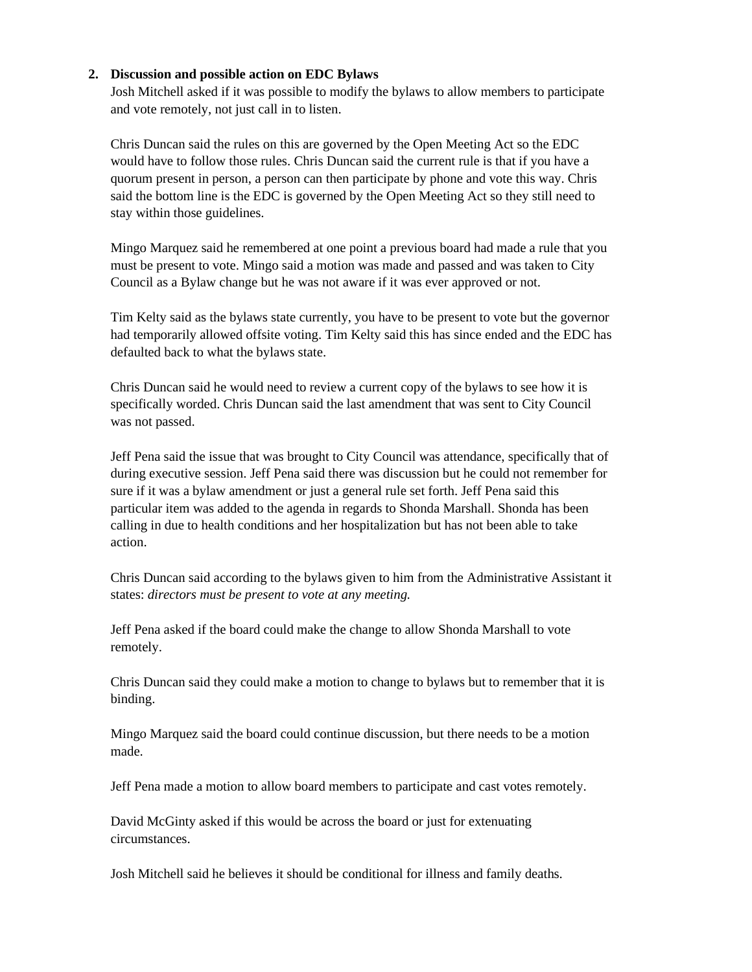### **2. Discussion and possible action on EDC Bylaws**

Josh Mitchell asked if it was possible to modify the bylaws to allow members to participate and vote remotely, not just call in to listen.

Chris Duncan said the rules on this are governed by the Open Meeting Act so the EDC would have to follow those rules. Chris Duncan said the current rule is that if you have a quorum present in person, a person can then participate by phone and vote this way. Chris said the bottom line is the EDC is governed by the Open Meeting Act so they still need to stay within those guidelines.

Mingo Marquez said he remembered at one point a previous board had made a rule that you must be present to vote. Mingo said a motion was made and passed and was taken to City Council as a Bylaw change but he was not aware if it was ever approved or not.

Tim Kelty said as the bylaws state currently, you have to be present to vote but the governor had temporarily allowed offsite voting. Tim Kelty said this has since ended and the EDC has defaulted back to what the bylaws state.

Chris Duncan said he would need to review a current copy of the bylaws to see how it is specifically worded. Chris Duncan said the last amendment that was sent to City Council was not passed.

Jeff Pena said the issue that was brought to City Council was attendance, specifically that of during executive session. Jeff Pena said there was discussion but he could not remember for sure if it was a bylaw amendment or just a general rule set forth. Jeff Pena said this particular item was added to the agenda in regards to Shonda Marshall. Shonda has been calling in due to health conditions and her hospitalization but has not been able to take action.

Chris Duncan said according to the bylaws given to him from the Administrative Assistant it states: *directors must be present to vote at any meeting.*

Jeff Pena asked if the board could make the change to allow Shonda Marshall to vote remotely.

Chris Duncan said they could make a motion to change to bylaws but to remember that it is binding.

Mingo Marquez said the board could continue discussion, but there needs to be a motion made.

Jeff Pena made a motion to allow board members to participate and cast votes remotely.

David McGinty asked if this would be across the board or just for extenuating circumstances.

Josh Mitchell said he believes it should be conditional for illness and family deaths.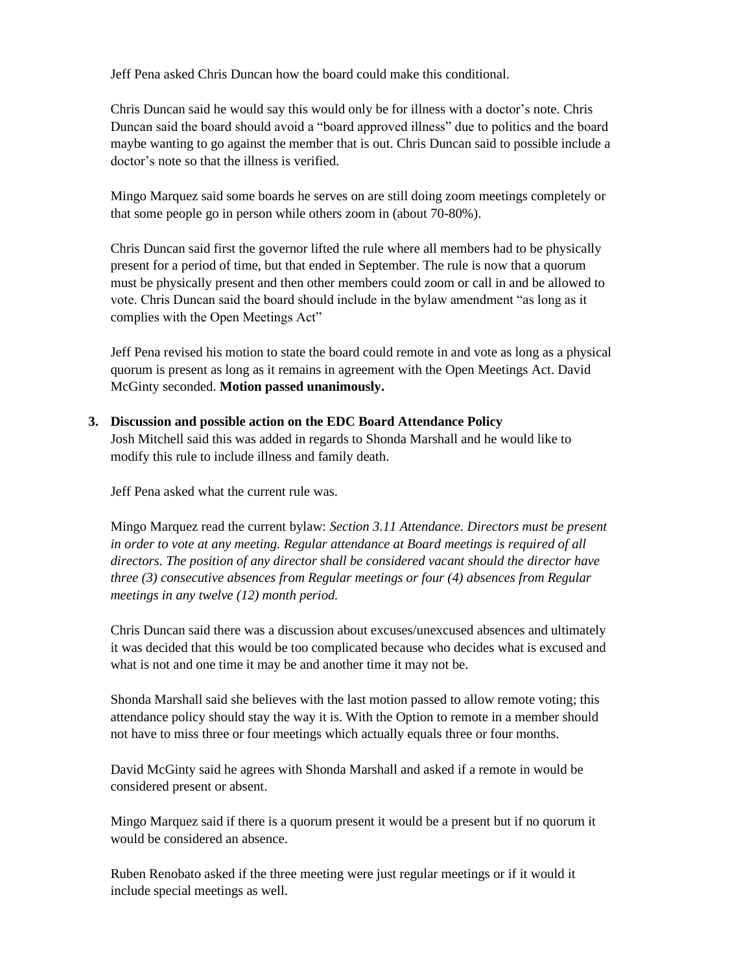Jeff Pena asked Chris Duncan how the board could make this conditional.

Chris Duncan said he would say this would only be for illness with a doctor's note. Chris Duncan said the board should avoid a "board approved illness" due to politics and the board maybe wanting to go against the member that is out. Chris Duncan said to possible include a doctor's note so that the illness is verified.

Mingo Marquez said some boards he serves on are still doing zoom meetings completely or that some people go in person while others zoom in (about 70-80%).

Chris Duncan said first the governor lifted the rule where all members had to be physically present for a period of time, but that ended in September. The rule is now that a quorum must be physically present and then other members could zoom or call in and be allowed to vote. Chris Duncan said the board should include in the bylaw amendment "as long as it complies with the Open Meetings Act"

Jeff Pena revised his motion to state the board could remote in and vote as long as a physical quorum is present as long as it remains in agreement with the Open Meetings Act. David McGinty seconded. **Motion passed unanimously.**

**3. Discussion and possible action on the EDC Board Attendance Policy**

Josh Mitchell said this was added in regards to Shonda Marshall and he would like to modify this rule to include illness and family death.

Jeff Pena asked what the current rule was.

Mingo Marquez read the current bylaw: *Section 3.11 Attendance. Directors must be present in order to vote at any meeting. Regular attendance at Board meetings is required of all directors. The position of any director shall be considered vacant should the director have three (3) consecutive absences from Regular meetings or four (4) absences from Regular meetings in any twelve (12) month period.*

Chris Duncan said there was a discussion about excuses/unexcused absences and ultimately it was decided that this would be too complicated because who decides what is excused and what is not and one time it may be and another time it may not be.

Shonda Marshall said she believes with the last motion passed to allow remote voting; this attendance policy should stay the way it is. With the Option to remote in a member should not have to miss three or four meetings which actually equals three or four months.

David McGinty said he agrees with Shonda Marshall and asked if a remote in would be considered present or absent.

Mingo Marquez said if there is a quorum present it would be a present but if no quorum it would be considered an absence.

Ruben Renobato asked if the three meeting were just regular meetings or if it would it include special meetings as well.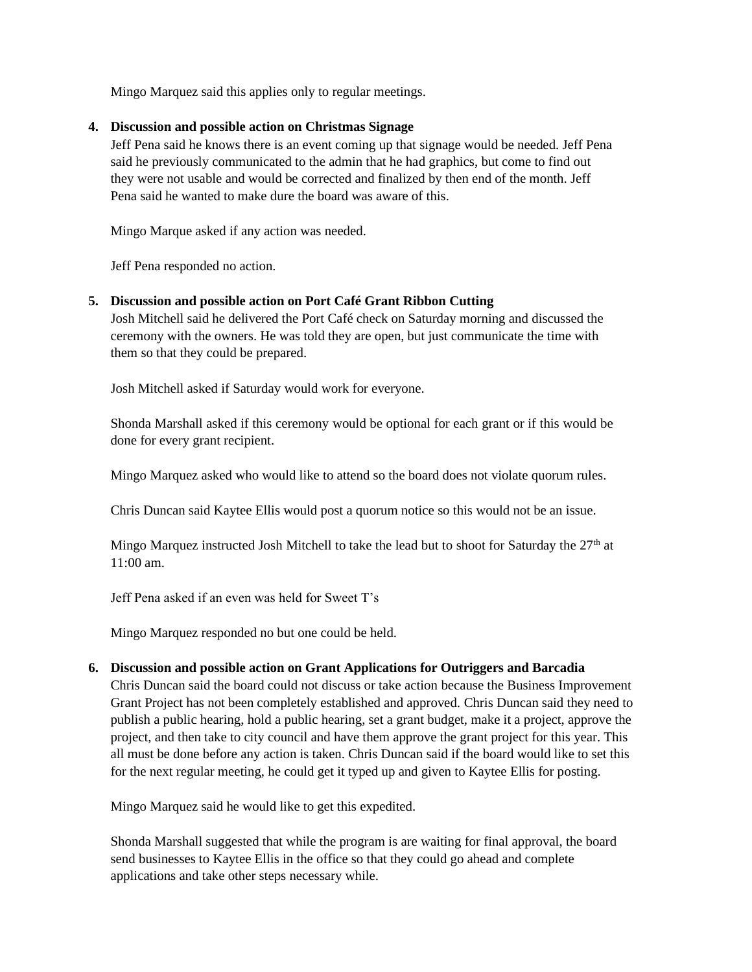Mingo Marquez said this applies only to regular meetings.

### **4. Discussion and possible action on Christmas Signage**

Jeff Pena said he knows there is an event coming up that signage would be needed. Jeff Pena said he previously communicated to the admin that he had graphics, but come to find out they were not usable and would be corrected and finalized by then end of the month. Jeff Pena said he wanted to make dure the board was aware of this.

Mingo Marque asked if any action was needed.

Jeff Pena responded no action.

### **5. Discussion and possible action on Port Café Grant Ribbon Cutting**

Josh Mitchell said he delivered the Port Café check on Saturday morning and discussed the ceremony with the owners. He was told they are open, but just communicate the time with them so that they could be prepared.

Josh Mitchell asked if Saturday would work for everyone.

Shonda Marshall asked if this ceremony would be optional for each grant or if this would be done for every grant recipient.

Mingo Marquez asked who would like to attend so the board does not violate quorum rules.

Chris Duncan said Kaytee Ellis would post a quorum notice so this would not be an issue.

Mingo Marquez instructed Josh Mitchell to take the lead but to shoot for Saturday the 27<sup>th</sup> at 11:00 am.

Jeff Pena asked if an even was held for Sweet T's

Mingo Marquez responded no but one could be held.

### **6. Discussion and possible action on Grant Applications for Outriggers and Barcadia**

Chris Duncan said the board could not discuss or take action because the Business Improvement Grant Project has not been completely established and approved. Chris Duncan said they need to publish a public hearing, hold a public hearing, set a grant budget, make it a project, approve the project, and then take to city council and have them approve the grant project for this year. This all must be done before any action is taken. Chris Duncan said if the board would like to set this for the next regular meeting, he could get it typed up and given to Kaytee Ellis for posting.

Mingo Marquez said he would like to get this expedited.

Shonda Marshall suggested that while the program is are waiting for final approval, the board send businesses to Kaytee Ellis in the office so that they could go ahead and complete applications and take other steps necessary while.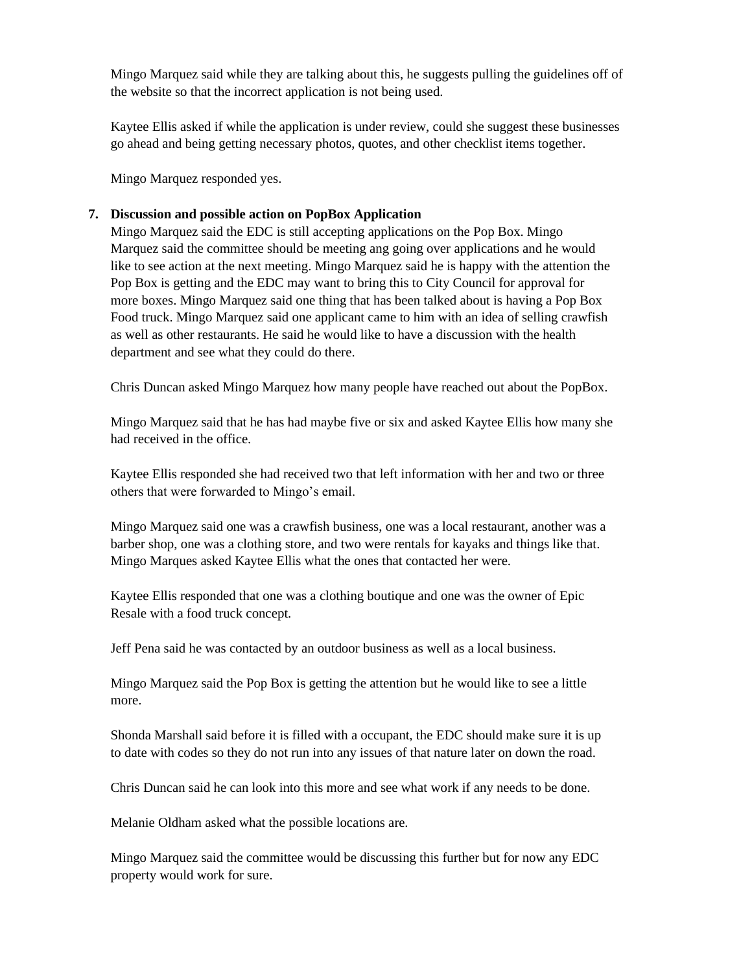Mingo Marquez said while they are talking about this, he suggests pulling the guidelines off of the website so that the incorrect application is not being used.

Kaytee Ellis asked if while the application is under review, could she suggest these businesses go ahead and being getting necessary photos, quotes, and other checklist items together.

Mingo Marquez responded yes.

#### **7. Discussion and possible action on PopBox Application**

Mingo Marquez said the EDC is still accepting applications on the Pop Box. Mingo Marquez said the committee should be meeting ang going over applications and he would like to see action at the next meeting. Mingo Marquez said he is happy with the attention the Pop Box is getting and the EDC may want to bring this to City Council for approval for more boxes. Mingo Marquez said one thing that has been talked about is having a Pop Box Food truck. Mingo Marquez said one applicant came to him with an idea of selling crawfish as well as other restaurants. He said he would like to have a discussion with the health department and see what they could do there.

Chris Duncan asked Mingo Marquez how many people have reached out about the PopBox.

Mingo Marquez said that he has had maybe five or six and asked Kaytee Ellis how many she had received in the office.

Kaytee Ellis responded she had received two that left information with her and two or three others that were forwarded to Mingo's email.

Mingo Marquez said one was a crawfish business, one was a local restaurant, another was a barber shop, one was a clothing store, and two were rentals for kayaks and things like that. Mingo Marques asked Kaytee Ellis what the ones that contacted her were.

Kaytee Ellis responded that one was a clothing boutique and one was the owner of Epic Resale with a food truck concept.

Jeff Pena said he was contacted by an outdoor business as well as a local business.

Mingo Marquez said the Pop Box is getting the attention but he would like to see a little more.

Shonda Marshall said before it is filled with a occupant, the EDC should make sure it is up to date with codes so they do not run into any issues of that nature later on down the road.

Chris Duncan said he can look into this more and see what work if any needs to be done.

Melanie Oldham asked what the possible locations are.

Mingo Marquez said the committee would be discussing this further but for now any EDC property would work for sure.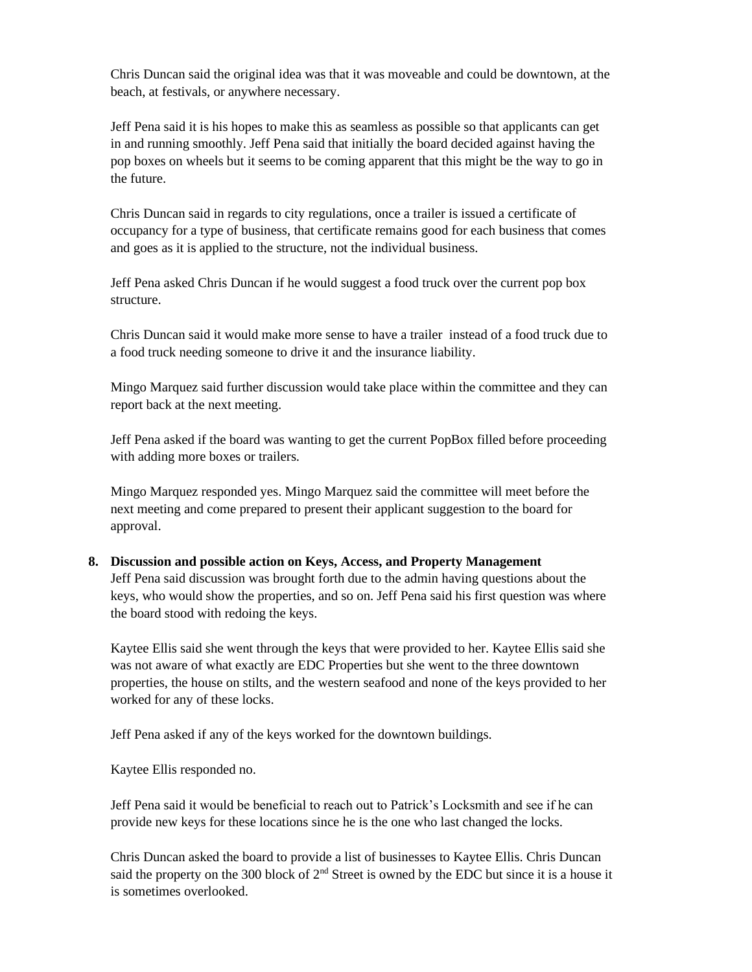Chris Duncan said the original idea was that it was moveable and could be downtown, at the beach, at festivals, or anywhere necessary.

Jeff Pena said it is his hopes to make this as seamless as possible so that applicants can get in and running smoothly. Jeff Pena said that initially the board decided against having the pop boxes on wheels but it seems to be coming apparent that this might be the way to go in the future.

Chris Duncan said in regards to city regulations, once a trailer is issued a certificate of occupancy for a type of business, that certificate remains good for each business that comes and goes as it is applied to the structure, not the individual business.

Jeff Pena asked Chris Duncan if he would suggest a food truck over the current pop box structure.

Chris Duncan said it would make more sense to have a trailer instead of a food truck due to a food truck needing someone to drive it and the insurance liability.

Mingo Marquez said further discussion would take place within the committee and they can report back at the next meeting.

Jeff Pena asked if the board was wanting to get the current PopBox filled before proceeding with adding more boxes or trailers.

Mingo Marquez responded yes. Mingo Marquez said the committee will meet before the next meeting and come prepared to present their applicant suggestion to the board for approval.

#### **8. Discussion and possible action on Keys, Access, and Property Management**

Jeff Pena said discussion was brought forth due to the admin having questions about the keys, who would show the properties, and so on. Jeff Pena said his first question was where the board stood with redoing the keys.

Kaytee Ellis said she went through the keys that were provided to her. Kaytee Ellis said she was not aware of what exactly are EDC Properties but she went to the three downtown properties, the house on stilts, and the western seafood and none of the keys provided to her worked for any of these locks.

Jeff Pena asked if any of the keys worked for the downtown buildings.

Kaytee Ellis responded no.

Jeff Pena said it would be beneficial to reach out to Patrick's Locksmith and see if he can provide new keys for these locations since he is the one who last changed the locks.

Chris Duncan asked the board to provide a list of businesses to Kaytee Ellis. Chris Duncan said the property on the 300 block of  $2<sup>nd</sup>$  Street is owned by the EDC but since it is a house it is sometimes overlooked.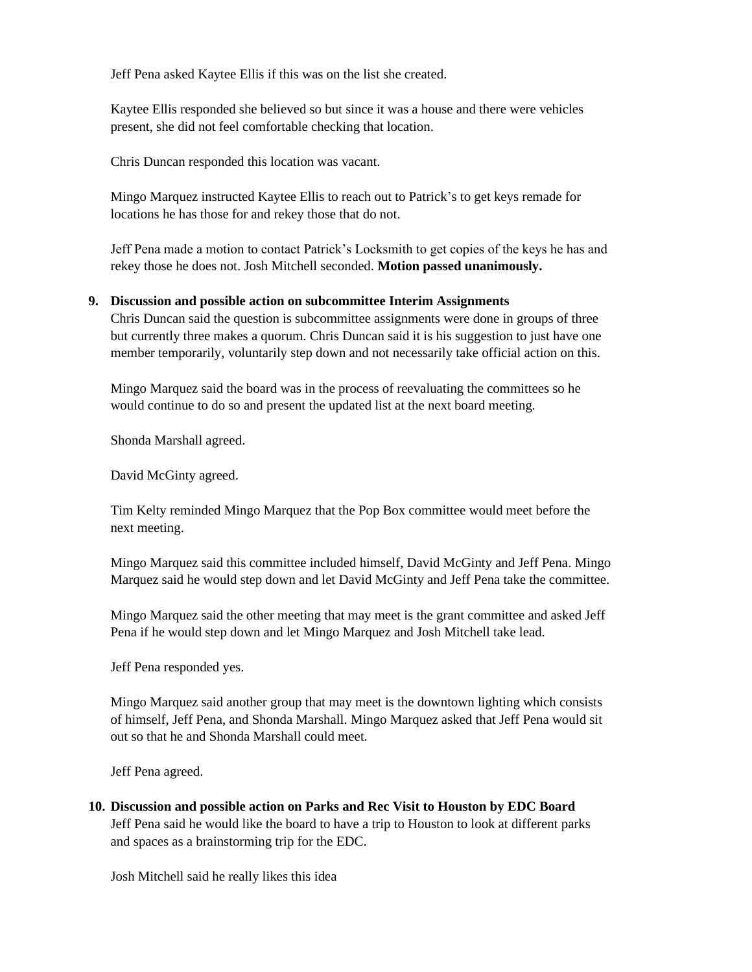Jeff Pena asked Kaytee Ellis if this was on the list she created.

Kaytee Ellis responded she believed so but since it was a house and there were vehicles present, she did not feel comfortable checking that location.

Chris Duncan responded this location was vacant.

Mingo Marquez instructed Kaytee Ellis to reach out to Patrick's to get keys remade for locations he has those for and rekey those that do not.

Jeff Pena made a motion to contact Patrick's Locksmith to get copies of the keys he has and rekey those he does not. Josh Mitchell seconded. **Motion passed unanimously.**

#### **9. Discussion and possible action on subcommittee Interim Assignments**

Chris Duncan said the question is subcommittee assignments were done in groups of three but currently three makes a quorum. Chris Duncan said it is his suggestion to just have one member temporarily, voluntarily step down and not necessarily take official action on this.

Mingo Marquez said the board was in the process of reevaluating the committees so he would continue to do so and present the updated list at the next board meeting.

Shonda Marshall agreed.

David McGinty agreed.

Tim Kelty reminded Mingo Marquez that the Pop Box committee would meet before the next meeting.

Mingo Marquez said this committee included himself, David McGinty and Jeff Pena. Mingo Marquez said he would step down and let David McGinty and Jeff Pena take the committee.

Mingo Marquez said the other meeting that may meet is the grant committee and asked Jeff Pena if he would step down and let Mingo Marquez and Josh Mitchell take lead.

Jeff Pena responded yes.

Mingo Marquez said another group that may meet is the downtown lighting which consists of himself, Jeff Pena, and Shonda Marshall. Mingo Marquez asked that Jeff Pena would sit out so that he and Shonda Marshall could meet.

Jeff Pena agreed.

**10. Discussion and possible action on Parks and Rec Visit to Houston by EDC Board** Jeff Pena said he would like the board to have a trip to Houston to look at different parks and spaces as a brainstorming trip for the EDC.

Josh Mitchell said he really likes this idea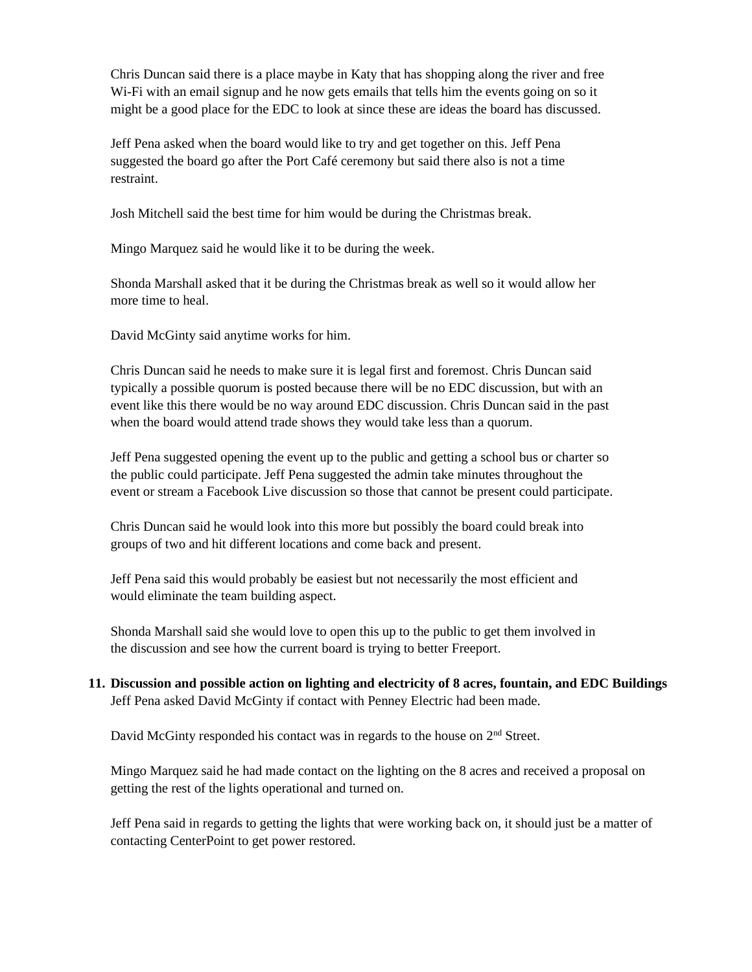Chris Duncan said there is a place maybe in Katy that has shopping along the river and free Wi-Fi with an email signup and he now gets emails that tells him the events going on so it might be a good place for the EDC to look at since these are ideas the board has discussed.

Jeff Pena asked when the board would like to try and get together on this. Jeff Pena suggested the board go after the Port Café ceremony but said there also is not a time restraint.

Josh Mitchell said the best time for him would be during the Christmas break.

Mingo Marquez said he would like it to be during the week.

Shonda Marshall asked that it be during the Christmas break as well so it would allow her more time to heal.

David McGinty said anytime works for him.

Chris Duncan said he needs to make sure it is legal first and foremost. Chris Duncan said typically a possible quorum is posted because there will be no EDC discussion, but with an event like this there would be no way around EDC discussion. Chris Duncan said in the past when the board would attend trade shows they would take less than a quorum.

Jeff Pena suggested opening the event up to the public and getting a school bus or charter so the public could participate. Jeff Pena suggested the admin take minutes throughout the event or stream a Facebook Live discussion so those that cannot be present could participate.

Chris Duncan said he would look into this more but possibly the board could break into groups of two and hit different locations and come back and present.

Jeff Pena said this would probably be easiest but not necessarily the most efficient and would eliminate the team building aspect.

Shonda Marshall said she would love to open this up to the public to get them involved in the discussion and see how the current board is trying to better Freeport.

**11. Discussion and possible action on lighting and electricity of 8 acres, fountain, and EDC Buildings** Jeff Pena asked David McGinty if contact with Penney Electric had been made.

David McGinty responded his contact was in regards to the house on 2<sup>nd</sup> Street.

Mingo Marquez said he had made contact on the lighting on the 8 acres and received a proposal on getting the rest of the lights operational and turned on.

Jeff Pena said in regards to getting the lights that were working back on, it should just be a matter of contacting CenterPoint to get power restored.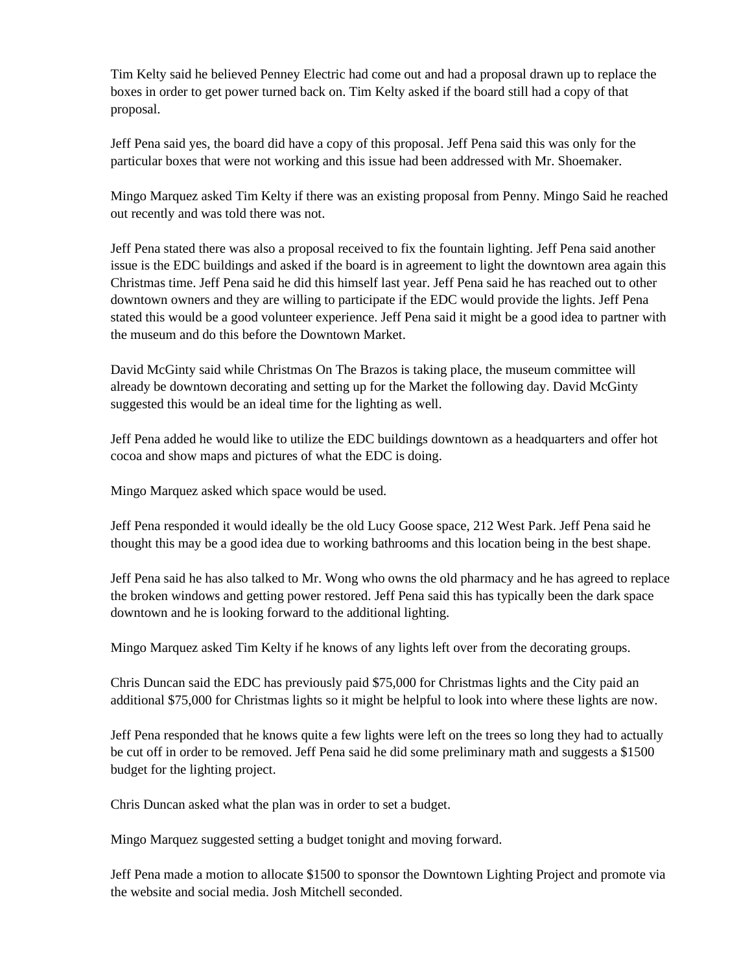Tim Kelty said he believed Penney Electric had come out and had a proposal drawn up to replace the boxes in order to get power turned back on. Tim Kelty asked if the board still had a copy of that proposal.

Jeff Pena said yes, the board did have a copy of this proposal. Jeff Pena said this was only for the particular boxes that were not working and this issue had been addressed with Mr. Shoemaker.

Mingo Marquez asked Tim Kelty if there was an existing proposal from Penny. Mingo Said he reached out recently and was told there was not.

Jeff Pena stated there was also a proposal received to fix the fountain lighting. Jeff Pena said another issue is the EDC buildings and asked if the board is in agreement to light the downtown area again this Christmas time. Jeff Pena said he did this himself last year. Jeff Pena said he has reached out to other downtown owners and they are willing to participate if the EDC would provide the lights. Jeff Pena stated this would be a good volunteer experience. Jeff Pena said it might be a good idea to partner with the museum and do this before the Downtown Market.

David McGinty said while Christmas On The Brazos is taking place, the museum committee will already be downtown decorating and setting up for the Market the following day. David McGinty suggested this would be an ideal time for the lighting as well.

Jeff Pena added he would like to utilize the EDC buildings downtown as a headquarters and offer hot cocoa and show maps and pictures of what the EDC is doing.

Mingo Marquez asked which space would be used.

Jeff Pena responded it would ideally be the old Lucy Goose space, 212 West Park. Jeff Pena said he thought this may be a good idea due to working bathrooms and this location being in the best shape.

Jeff Pena said he has also talked to Mr. Wong who owns the old pharmacy and he has agreed to replace the broken windows and getting power restored. Jeff Pena said this has typically been the dark space downtown and he is looking forward to the additional lighting.

Mingo Marquez asked Tim Kelty if he knows of any lights left over from the decorating groups.

Chris Duncan said the EDC has previously paid \$75,000 for Christmas lights and the City paid an additional \$75,000 for Christmas lights so it might be helpful to look into where these lights are now.

Jeff Pena responded that he knows quite a few lights were left on the trees so long they had to actually be cut off in order to be removed. Jeff Pena said he did some preliminary math and suggests a \$1500 budget for the lighting project.

Chris Duncan asked what the plan was in order to set a budget.

Mingo Marquez suggested setting a budget tonight and moving forward.

Jeff Pena made a motion to allocate \$1500 to sponsor the Downtown Lighting Project and promote via the website and social media. Josh Mitchell seconded.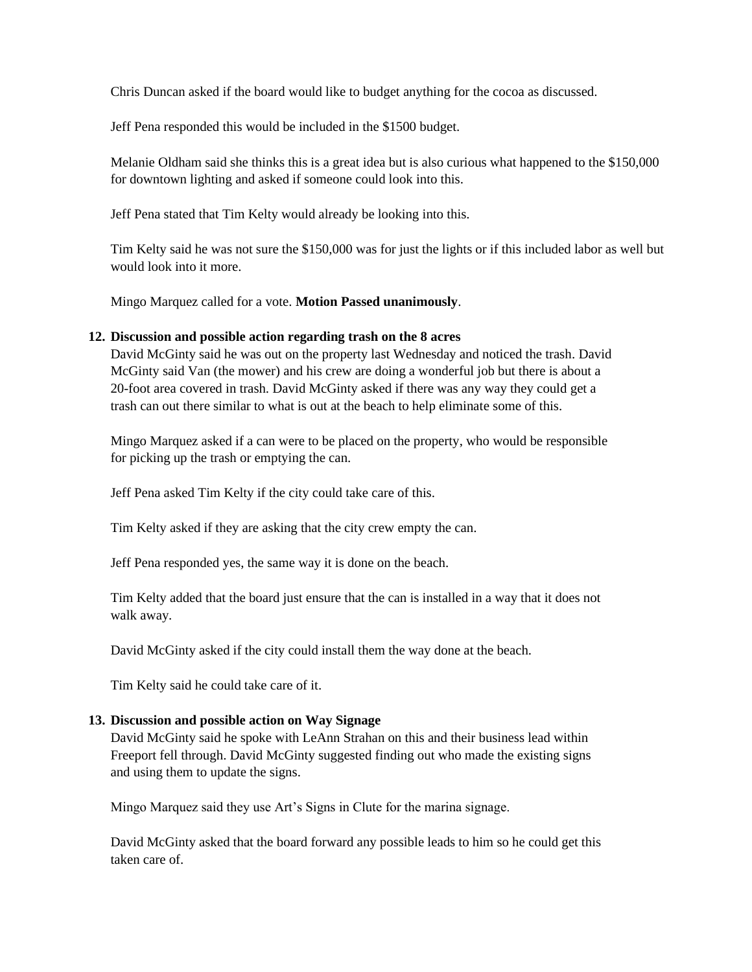Chris Duncan asked if the board would like to budget anything for the cocoa as discussed.

Jeff Pena responded this would be included in the \$1500 budget.

Melanie Oldham said she thinks this is a great idea but is also curious what happened to the \$150,000 for downtown lighting and asked if someone could look into this.

Jeff Pena stated that Tim Kelty would already be looking into this.

Tim Kelty said he was not sure the \$150,000 was for just the lights or if this included labor as well but would look into it more.

Mingo Marquez called for a vote. **Motion Passed unanimously**.

#### **12. Discussion and possible action regarding trash on the 8 acres**

David McGinty said he was out on the property last Wednesday and noticed the trash. David McGinty said Van (the mower) and his crew are doing a wonderful job but there is about a 20-foot area covered in trash. David McGinty asked if there was any way they could get a trash can out there similar to what is out at the beach to help eliminate some of this.

Mingo Marquez asked if a can were to be placed on the property, who would be responsible for picking up the trash or emptying the can.

Jeff Pena asked Tim Kelty if the city could take care of this.

Tim Kelty asked if they are asking that the city crew empty the can.

Jeff Pena responded yes, the same way it is done on the beach.

Tim Kelty added that the board just ensure that the can is installed in a way that it does not walk away.

David McGinty asked if the city could install them the way done at the beach.

Tim Kelty said he could take care of it.

#### **13. Discussion and possible action on Way Signage**

David McGinty said he spoke with LeAnn Strahan on this and their business lead within Freeport fell through. David McGinty suggested finding out who made the existing signs and using them to update the signs.

Mingo Marquez said they use Art's Signs in Clute for the marina signage.

David McGinty asked that the board forward any possible leads to him so he could get this taken care of.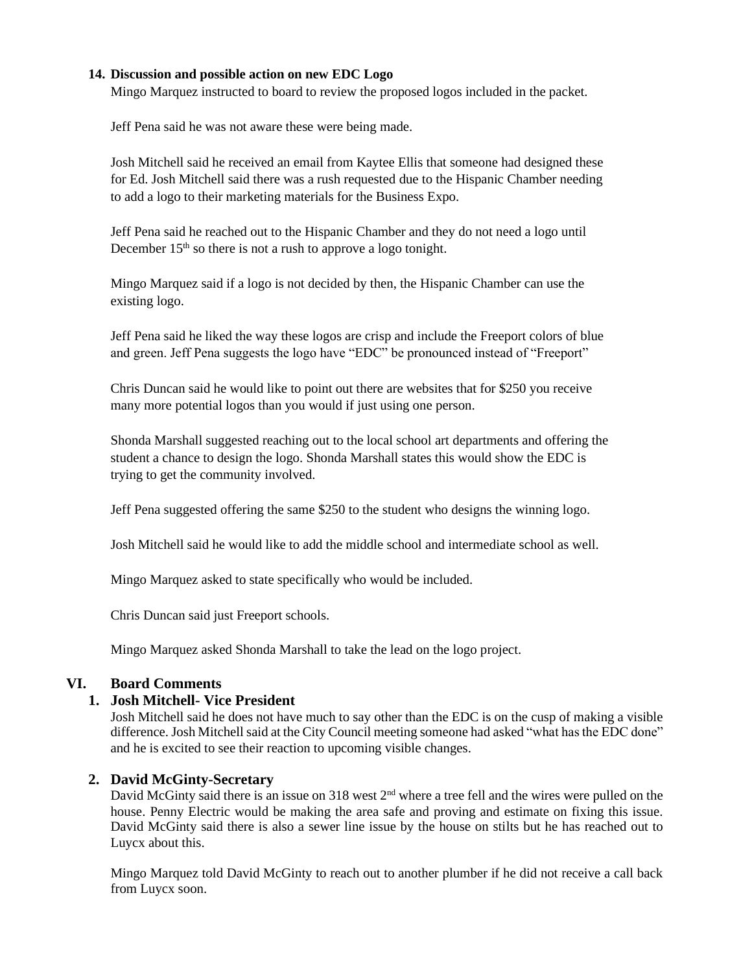### **14. Discussion and possible action on new EDC Logo**

Mingo Marquez instructed to board to review the proposed logos included in the packet.

Jeff Pena said he was not aware these were being made.

Josh Mitchell said he received an email from Kaytee Ellis that someone had designed these for Ed. Josh Mitchell said there was a rush requested due to the Hispanic Chamber needing to add a logo to their marketing materials for the Business Expo.

Jeff Pena said he reached out to the Hispanic Chamber and they do not need a logo until December  $15<sup>th</sup>$  so there is not a rush to approve a logo tonight.

Mingo Marquez said if a logo is not decided by then, the Hispanic Chamber can use the existing logo.

Jeff Pena said he liked the way these logos are crisp and include the Freeport colors of blue and green. Jeff Pena suggests the logo have "EDC" be pronounced instead of "Freeport"

Chris Duncan said he would like to point out there are websites that for \$250 you receive many more potential logos than you would if just using one person.

Shonda Marshall suggested reaching out to the local school art departments and offering the student a chance to design the logo. Shonda Marshall states this would show the EDC is trying to get the community involved.

Jeff Pena suggested offering the same \$250 to the student who designs the winning logo.

Josh Mitchell said he would like to add the middle school and intermediate school as well.

Mingo Marquez asked to state specifically who would be included.

Chris Duncan said just Freeport schools.

Mingo Marquez asked Shonda Marshall to take the lead on the logo project.

# **VI. Board Comments**

# **1. Josh Mitchell- Vice President**

Josh Mitchell said he does not have much to say other than the EDC is on the cusp of making a visible difference. Josh Mitchell said at the City Council meeting someone had asked "what has the EDC done" and he is excited to see their reaction to upcoming visible changes.

# **2. David McGinty-Secretary**

David McGinty said there is an issue on  $318$  west  $2<sup>nd</sup>$  where a tree fell and the wires were pulled on the house. Penny Electric would be making the area safe and proving and estimate on fixing this issue. David McGinty said there is also a sewer line issue by the house on stilts but he has reached out to Luycx about this.

Mingo Marquez told David McGinty to reach out to another plumber if he did not receive a call back from Luycx soon.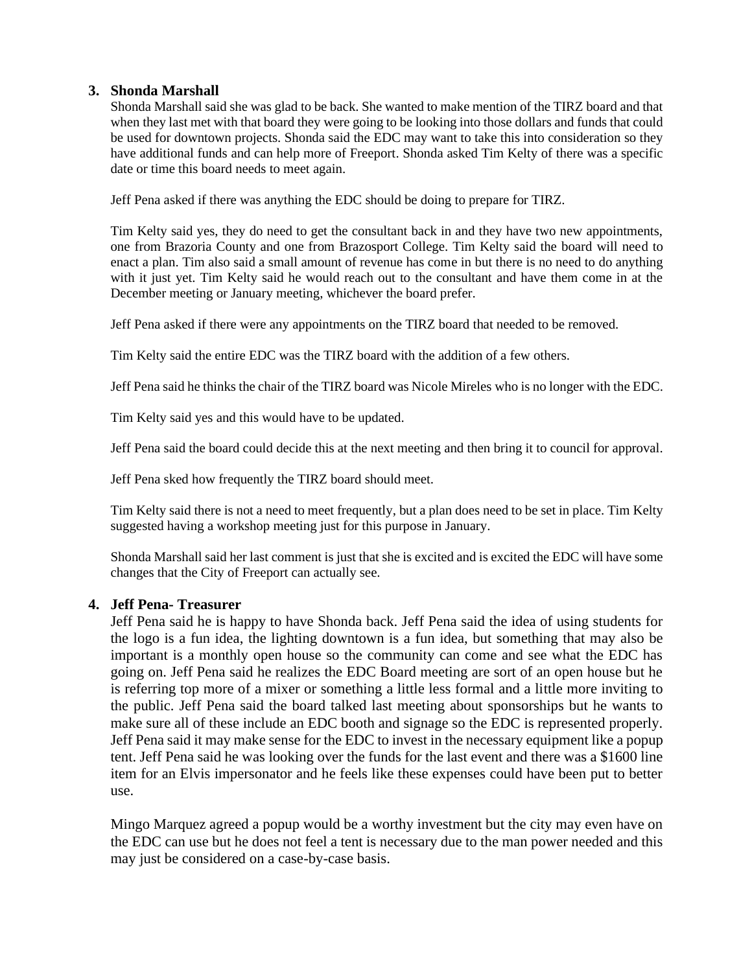# **3. Shonda Marshall**

Shonda Marshall said she was glad to be back. She wanted to make mention of the TIRZ board and that when they last met with that board they were going to be looking into those dollars and funds that could be used for downtown projects. Shonda said the EDC may want to take this into consideration so they have additional funds and can help more of Freeport. Shonda asked Tim Kelty of there was a specific date or time this board needs to meet again.

Jeff Pena asked if there was anything the EDC should be doing to prepare for TIRZ.

Tim Kelty said yes, they do need to get the consultant back in and they have two new appointments, one from Brazoria County and one from Brazosport College. Tim Kelty said the board will need to enact a plan. Tim also said a small amount of revenue has come in but there is no need to do anything with it just yet. Tim Kelty said he would reach out to the consultant and have them come in at the December meeting or January meeting, whichever the board prefer.

Jeff Pena asked if there were any appointments on the TIRZ board that needed to be removed.

Tim Kelty said the entire EDC was the TIRZ board with the addition of a few others.

Jeff Pena said he thinks the chair of the TIRZ board was Nicole Mireles who is no longer with the EDC.

Tim Kelty said yes and this would have to be updated.

Jeff Pena said the board could decide this at the next meeting and then bring it to council for approval.

Jeff Pena sked how frequently the TIRZ board should meet.

Tim Kelty said there is not a need to meet frequently, but a plan does need to be set in place. Tim Kelty suggested having a workshop meeting just for this purpose in January.

Shonda Marshall said her last comment is just that she is excited and is excited the EDC will have some changes that the City of Freeport can actually see.

# **4. Jeff Pena- Treasurer**

Jeff Pena said he is happy to have Shonda back. Jeff Pena said the idea of using students for the logo is a fun idea, the lighting downtown is a fun idea, but something that may also be important is a monthly open house so the community can come and see what the EDC has going on. Jeff Pena said he realizes the EDC Board meeting are sort of an open house but he is referring top more of a mixer or something a little less formal and a little more inviting to the public. Jeff Pena said the board talked last meeting about sponsorships but he wants to make sure all of these include an EDC booth and signage so the EDC is represented properly. Jeff Pena said it may make sense for the EDC to invest in the necessary equipment like a popup tent. Jeff Pena said he was looking over the funds for the last event and there was a \$1600 line item for an Elvis impersonator and he feels like these expenses could have been put to better use.

Mingo Marquez agreed a popup would be a worthy investment but the city may even have on the EDC can use but he does not feel a tent is necessary due to the man power needed and this may just be considered on a case-by-case basis.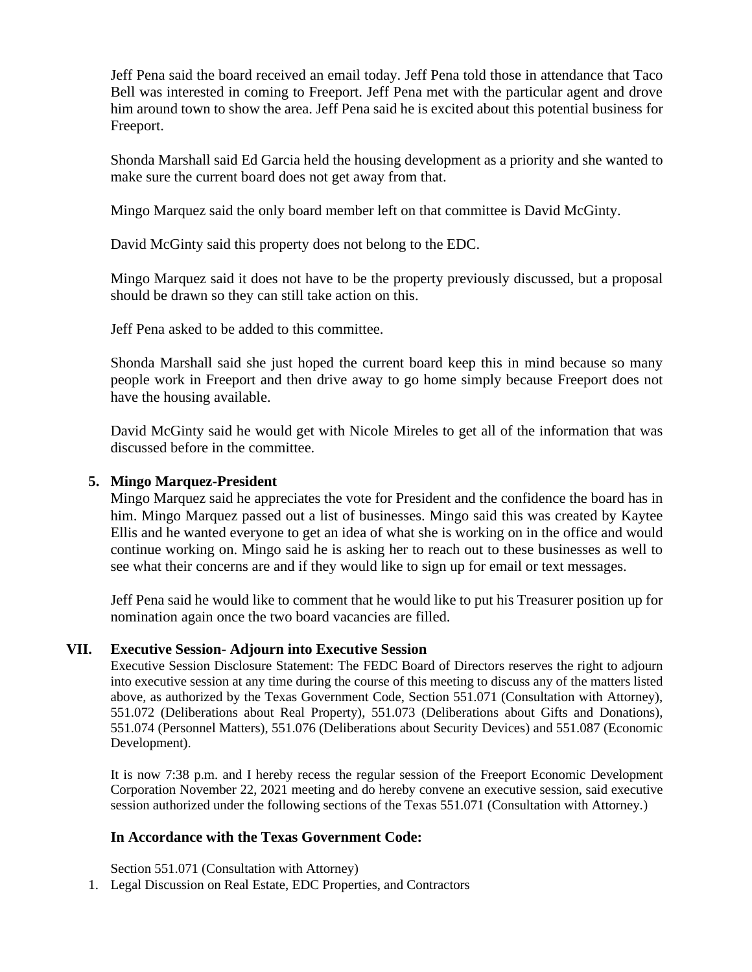Jeff Pena said the board received an email today. Jeff Pena told those in attendance that Taco Bell was interested in coming to Freeport. Jeff Pena met with the particular agent and drove him around town to show the area. Jeff Pena said he is excited about this potential business for Freeport.

Shonda Marshall said Ed Garcia held the housing development as a priority and she wanted to make sure the current board does not get away from that.

Mingo Marquez said the only board member left on that committee is David McGinty.

David McGinty said this property does not belong to the EDC.

Mingo Marquez said it does not have to be the property previously discussed, but a proposal should be drawn so they can still take action on this.

Jeff Pena asked to be added to this committee.

Shonda Marshall said she just hoped the current board keep this in mind because so many people work in Freeport and then drive away to go home simply because Freeport does not have the housing available.

David McGinty said he would get with Nicole Mireles to get all of the information that was discussed before in the committee.

# **5. Mingo Marquez-President**

Mingo Marquez said he appreciates the vote for President and the confidence the board has in him. Mingo Marquez passed out a list of businesses. Mingo said this was created by Kaytee Ellis and he wanted everyone to get an idea of what she is working on in the office and would continue working on. Mingo said he is asking her to reach out to these businesses as well to see what their concerns are and if they would like to sign up for email or text messages.

Jeff Pena said he would like to comment that he would like to put his Treasurer position up for nomination again once the two board vacancies are filled.

# **VII. Executive Session- Adjourn into Executive Session**

Executive Session Disclosure Statement: The FEDC Board of Directors reserves the right to adjourn into executive session at any time during the course of this meeting to discuss any of the matters listed above, as authorized by the Texas Government Code, Section 551.071 (Consultation with Attorney), 551.072 (Deliberations about Real Property), 551.073 (Deliberations about Gifts and Donations), 551.074 (Personnel Matters), 551.076 (Deliberations about Security Devices) and 551.087 (Economic Development).

It is now 7:38 p.m. and I hereby recess the regular session of the Freeport Economic Development Corporation November 22, 2021 meeting and do hereby convene an executive session, said executive session authorized under the following sections of the Texas 551.071 (Consultation with Attorney.)

# **In Accordance with the Texas Government Code:**

Section 551.071 (Consultation with Attorney)

1. Legal Discussion on Real Estate, EDC Properties, and Contractors